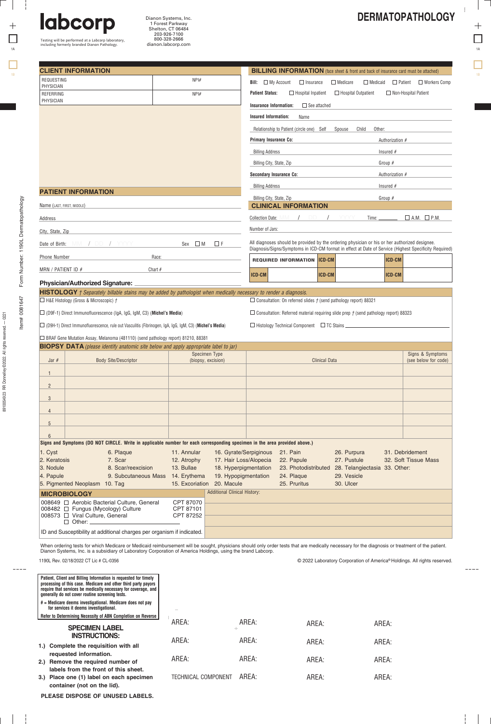| t  |  |
|----|--|
|    |  |
| 1A |  |
|    |  |

 $\Box$   $\Box$ 

Testing will be performed at a Labcorp laboratory, including formerly branded Dianon Pathology.

labcorp

8910054923 RR Donnelley ©2022. All rights reserved. 8910054923 RR Donnelley @2022. All rights reserved. - 0221

þ.

 $892$ 

|                                                                          | <b>CLIENT INFORMATION</b>                                                                                                                                                                                                                                                                                                        | <b>BILLING INFORMATION</b> (face sheet & front and back of insurance card must be attached) |                                                                         |                                                                                                                                                                                                                                                     |                                           |                                                    |                                                    |
|--------------------------------------------------------------------------|----------------------------------------------------------------------------------------------------------------------------------------------------------------------------------------------------------------------------------------------------------------------------------------------------------------------------------|---------------------------------------------------------------------------------------------|-------------------------------------------------------------------------|-----------------------------------------------------------------------------------------------------------------------------------------------------------------------------------------------------------------------------------------------------|-------------------------------------------|----------------------------------------------------|----------------------------------------------------|
| <b>REQUESTING</b><br>PHYSICIAN                                           |                                                                                                                                                                                                                                                                                                                                  | NPI#                                                                                        |                                                                         | <b>Bill:</b> $\Box$ My Account<br>$\Box$ Insurance                                                                                                                                                                                                  | $\Box$ Medicare                           |                                                    | $\Box$ Medicaid $\Box$ Patient $\Box$ Workers Comp |
| REFERRING                                                                |                                                                                                                                                                                                                                                                                                                                  | NPI#                                                                                        |                                                                         | $\Box$ Hospital Inpatient<br><b>Patient Status:</b>                                                                                                                                                                                                 | $\Box$ Hospital Outpatient                |                                                    | $\Box$ Non-Hospital Patient                        |
| PHYSICIAN                                                                |                                                                                                                                                                                                                                                                                                                                  |                                                                                             |                                                                         | <b>Insurance Information:</b>                                                                                                                                                                                                                       | $\Box$ See attached                       |                                                    |                                                    |
|                                                                          |                                                                                                                                                                                                                                                                                                                                  |                                                                                             |                                                                         | <b>Insured Information:</b><br>Name                                                                                                                                                                                                                 |                                           |                                                    |                                                    |
|                                                                          |                                                                                                                                                                                                                                                                                                                                  |                                                                                             |                                                                         | Relationship to Patient (circle one) Self                                                                                                                                                                                                           | Spouse                                    | Child<br>Other:                                    |                                                    |
|                                                                          |                                                                                                                                                                                                                                                                                                                                  |                                                                                             |                                                                         | <b>Primary Insurance Co:</b>                                                                                                                                                                                                                        |                                           | Authorization #                                    |                                                    |
|                                                                          |                                                                                                                                                                                                                                                                                                                                  |                                                                                             |                                                                         |                                                                                                                                                                                                                                                     |                                           |                                                    |                                                    |
|                                                                          |                                                                                                                                                                                                                                                                                                                                  |                                                                                             |                                                                         | <b>Billing Address</b>                                                                                                                                                                                                                              |                                           | Insured $#$                                        |                                                    |
|                                                                          |                                                                                                                                                                                                                                                                                                                                  |                                                                                             |                                                                         | Billing City, State, Zip                                                                                                                                                                                                                            |                                           | Group $#$                                          |                                                    |
|                                                                          |                                                                                                                                                                                                                                                                                                                                  |                                                                                             |                                                                         | <b>Secondary Insurance Co:</b>                                                                                                                                                                                                                      | Authorization #                           |                                                    |                                                    |
|                                                                          | <b>PATIENT INFORMATION</b>                                                                                                                                                                                                                                                                                                       |                                                                                             |                                                                         | <b>Billing Address</b>                                                                                                                                                                                                                              |                                           | Insured $#$                                        |                                                    |
|                                                                          |                                                                                                                                                                                                                                                                                                                                  |                                                                                             |                                                                         | Billing City, State, Zip                                                                                                                                                                                                                            |                                           | Group $#$                                          |                                                    |
| Name (LAST, FIRST, MIDDLE)                                               |                                                                                                                                                                                                                                                                                                                                  |                                                                                             |                                                                         | <b>CLINICAL INFORMATION</b>                                                                                                                                                                                                                         |                                           |                                                    |                                                    |
| Address                                                                  |                                                                                                                                                                                                                                                                                                                                  |                                                                                             |                                                                         | <b>Collection Date:</b>                                                                                                                                                                                                                             |                                           | Time:                                              | $\Box$ A.M. $\Box$ P.M.                            |
| City, State, Zip                                                         |                                                                                                                                                                                                                                                                                                                                  |                                                                                             |                                                                         | Number of Jars:                                                                                                                                                                                                                                     |                                           |                                                    |                                                    |
|                                                                          | Date of Birth: MM / DD / YYYY                                                                                                                                                                                                                                                                                                    | $Sex \Box M$                                                                                | $\Box F$                                                                | All diagnoses should be provided by the ordering physician or his or her authorized designee.                                                                                                                                                       |                                           |                                                    |                                                    |
| <b>Phone Number</b>                                                      |                                                                                                                                                                                                                                                                                                                                  | Race:                                                                                       |                                                                         | Diagnosis/Signs/Symptoms in ICD-CM format in effect at Date of Service (Highest Specificity Required)                                                                                                                                               |                                           |                                                    |                                                    |
|                                                                          |                                                                                                                                                                                                                                                                                                                                  |                                                                                             |                                                                         | <b>REQUIRED INFORMATION ICD-CM</b>                                                                                                                                                                                                                  |                                           | ICD-CM                                             |                                                    |
| MRN / PATIENT ID $#$                                                     |                                                                                                                                                                                                                                                                                                                                  | Chart $#$                                                                                   |                                                                         | ICD-CM                                                                                                                                                                                                                                              | <b>ICD-CM</b>                             | <b>ICD-CM</b>                                      |                                                    |
|                                                                          | $\Box$ H&E Histology (Gross & Microscopic) $f$<br>$\Box$ (D9F-1) Direct Immunofluorescence (IgA, IgG, IgM, C3) (Michel's Media)<br>(D9H-1) Direct Immunofluorescence, rule out Vasculitis (Fibrinogen, IgA, IgG, IgM, C3) (Michel's Media)<br>□ BRAF Gene Mutation Assay, Melanoma (481110) (send pathology report) 81210, 88381 |                                                                                             |                                                                         | $\Box$ Consultation: On referred slides $\dot{\tau}$ (send pathology report) 88321<br>$\Box$ Consultation: Referred material requiring slide prep $f$ (send pathology report) 88323<br>$\Box$ Histology Technical Component $\Box$ TC Stains $\Box$ |                                           |                                                    |                                                    |
|                                                                          | <b>BIOPSY DATA</b> (please identify anatomic site below and apply appropriate label to jar)                                                                                                                                                                                                                                      |                                                                                             | Specimen Type                                                           |                                                                                                                                                                                                                                                     |                                           |                                                    | Signs & Symptoms                                   |
| Jar $#$<br>$\mathbf{1}$<br>$\overline{2}$                                | <b>Body Site/Descriptor</b>                                                                                                                                                                                                                                                                                                      |                                                                                             | (biopsy, excision)                                                      |                                                                                                                                                                                                                                                     | <b>Clinical Data</b>                      |                                                    | (see below for code)                               |
| 3<br>$\overline{4}$                                                      |                                                                                                                                                                                                                                                                                                                                  |                                                                                             |                                                                         |                                                                                                                                                                                                                                                     |                                           |                                                    |                                                    |
| 5                                                                        |                                                                                                                                                                                                                                                                                                                                  |                                                                                             |                                                                         |                                                                                                                                                                                                                                                     |                                           |                                                    |                                                    |
| 6                                                                        |                                                                                                                                                                                                                                                                                                                                  |                                                                                             |                                                                         |                                                                                                                                                                                                                                                     |                                           |                                                    |                                                    |
|                                                                          | Signs and Symptoms (DO NOT CIRCLE. Write in applicable number for each corresponding specimen in the area provided above.)                                                                                                                                                                                                       |                                                                                             |                                                                         |                                                                                                                                                                                                                                                     |                                           |                                                    |                                                    |
|                                                                          | 6. Plaque<br>7. Scar<br>8. Scar/reexcision                                                                                                                                                                                                                                                                                       | 11. Annular<br>12. Atrophy<br>13. Bullae<br>9. Subcutaneous Mass 14. Erythema               | 17. Hair Loss/Alopecia<br>18. Hyperpigmentation<br>19. Hypopigmentation | 16. Gyrate/Serpiginous<br>21. Pain<br>22. Papule<br>24. Plaque                                                                                                                                                                                      | 26. Purpura<br>27. Pustule<br>29. Vesicle | 23. Photodistributed 28. Telangiectasia 33. Other: | 31. Debridement<br>32. Soft Tissue Mass            |
|                                                                          | 5. Pigmented Neoplasm 10. Tag                                                                                                                                                                                                                                                                                                    |                                                                                             | 15. Excoriation 20. Macule                                              | 25. Pruritus                                                                                                                                                                                                                                        | 30. Ulcer                                 |                                                    |                                                    |
|                                                                          |                                                                                                                                                                                                                                                                                                                                  |                                                                                             | <b>Additional Clinical History:</b>                                     |                                                                                                                                                                                                                                                     |                                           |                                                    |                                                    |
|                                                                          | 008649 □ Aerobic Bacterial Culture, General<br>008482 □ Fungus (Mycology) Culture<br>008573 □ Viral Culture, General<br>$\Box$ Other: $\Box$                                                                                                                                                                                     | CPT 87070<br>CPT 87101<br>CPT 87252                                                         |                                                                         |                                                                                                                                                                                                                                                     |                                           |                                                    |                                                    |
|                                                                          | ID and Susceptibility at additional charges per organism if indicated.                                                                                                                                                                                                                                                           |                                                                                             |                                                                         |                                                                                                                                                                                                                                                     |                                           |                                                    |                                                    |
| 1. Cyst<br>2. Keratosis<br>3. Nodule<br>4. Papule<br><b>MICROBIOLOGY</b> | When ordering tests for which Medicare or Medicaid reimbursement will be sought, physicians should only order tests that are medically necessary for the diagnosis or treatment of the patient.<br>Dianon Systems, Inc. is a subsidiary of Laboratory Corporation of America Holdings, using the brand Labcorp.                  |                                                                                             |                                                                         |                                                                                                                                                                                                                                                     |                                           |                                                    |                                                    |

Dianon Systems, Inc. 1 Forest Parkway Shelton, CT 06484 203-926-7100 800-328-2666

dianon.labcorp.com

AREA: AREA: AREA: TECHNICAL COMPONENT AREA: AREA: AREA: AREA: AREA: AREA: AREA: AREA: AREA: AREA: AREA: AREA: **require that services be medically necessary for coverage, and generally do not cover routine screening tests. # = Medicare deems investigational. Medicare does not pay for services it deems investigational. SPECIMEN LABEL INSTRUCTIONS: 1.) Complete the requisition with all 2.) Remove the required number of 3.) Place one (1) label on each specimen requested information. labels from the front of this sheet. container (not on the lid). Refer to Determining Necessity of ABN Completion on Reverse**

**PLEASE DISPOSE OF UNUSED LABELS.**

ţ

 $\mathbb{R}$